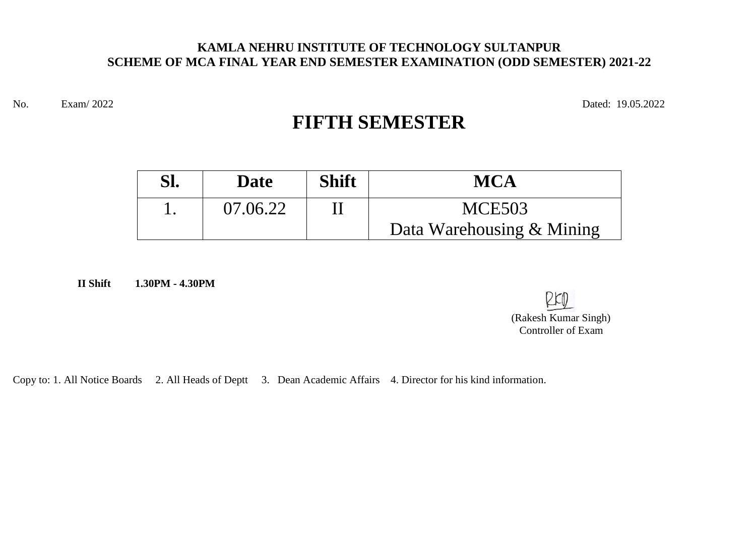#### **KAMLA NEHRU INSTITUTE OF TECHNOLOGY SULTANPUR SCHEME OF MCA FINAL YEAR END SEMESTER EXAMINATION (ODD SEMESTER) 2021-22**

No. Exam/ 2022 Dated: 19.05.2022

# **FIFTH SEMESTER**

| Sl. | <b>Date</b> | <b>Shift</b> | <b>MCA</b>                |
|-----|-------------|--------------|---------------------------|
|     | 07.06.22    |              | <b>MCE503</b>             |
|     |             |              | Data Warehousing & Mining |

**II Shift 1.30PM - 4.30PM** 

 $D$  $K$ <sub> $n$ </sub> (Rakesh Kumar Singh) Controller of Exam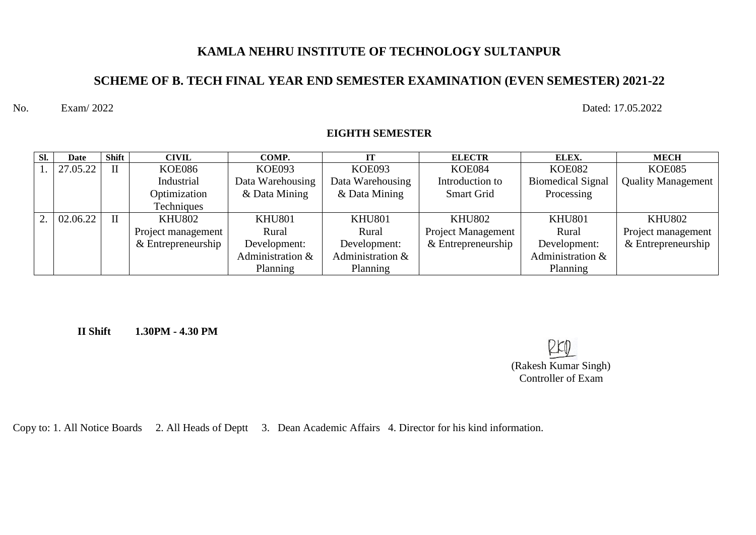# **KAMLA NEHRU INSTITUTE OF TECHNOLOGY SULTANPUR**

# **SCHEME OF B. TECH FINAL YEAR END SEMESTER EXAMINATION (EVEN SEMESTER) 2021-22**

No. Exam/ 2022 Dated: 17.05.2022

| Sl. | Date     | <b>Shift</b> | <b>CIVIL</b>       | COMP.            | IT               | <b>ELECTR</b>             | ELEX.                    | <b>MECH</b>               |
|-----|----------|--------------|--------------------|------------------|------------------|---------------------------|--------------------------|---------------------------|
|     | 27.05.22 | $\mathbf{I}$ | <b>KOE086</b>      | <b>KOE093</b>    | <b>KOE093</b>    | <b>KOE084</b>             | <b>KOE082</b>            | <b>KOE085</b>             |
|     |          |              | Industrial         | Data Warehousing | Data Warehousing | Introduction to           | <b>Biomedical Signal</b> | <b>Quality Management</b> |
|     |          |              | Optimization       | & Data Mining    | & Data Mining    | <b>Smart Grid</b>         | Processing               |                           |
|     |          |              | Techniques         |                  |                  |                           |                          |                           |
| 2.  | 02.06.22 | $\mathbf{I}$ | <b>KHU802</b>      | <b>KHU801</b>    | <b>KHU801</b>    | <b>KHU802</b>             | <b>KHU801</b>            | <b>KHU802</b>             |
|     |          |              | Project management | Rural            | Rural            | <b>Project Management</b> | Rural                    | Project management        |
|     |          |              | & Entrepreneurship | Development:     | Development:     | $&$ Entrepreneurship      | Development:             | & Entrepreneurship        |
|     |          |              |                    | Administration & | Administration & |                           | Administration &         |                           |
|     |          |              |                    | Planning         | Planning         |                           | Planning                 |                           |

**EIGHTH SEMESTER**

**II Shift 1.30PM - 4.30 PM** 

| RKD                  |
|----------------------|
| (Rakesh Kumar Singh) |
| Controller of Exam   |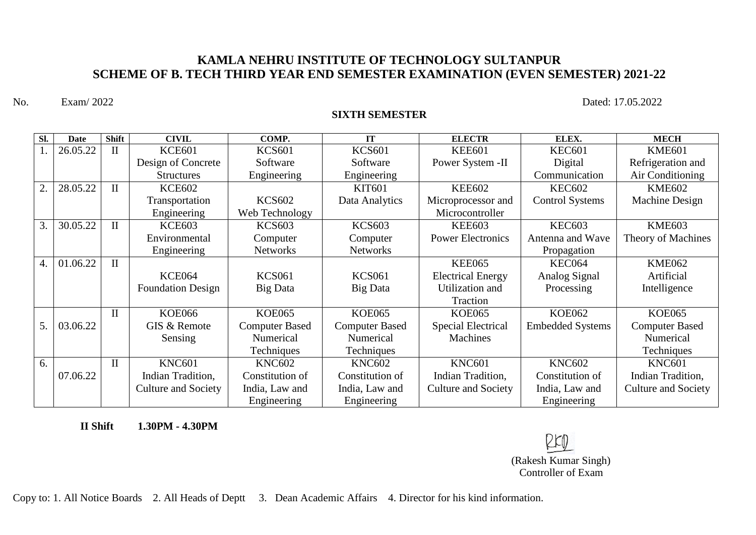## **KAMLA NEHRU INSTITUTE OF TECHNOLOGY SULTANPUR SCHEME OF B. TECH THIRD YEAR END SEMESTER EXAMINATION (EVEN SEMESTER) 2021-22**

No. Exam/ 2022 Dated: 17.05.2022

#### **SIXTH SEMESTER**

| Sl. | <b>Date</b> | <b>Shift</b> | <b>CIVIL</b>               | COMP.                 | <b>IT</b>             | <b>ELECTR</b>             | ELEX.                   | <b>MECH</b>                |
|-----|-------------|--------------|----------------------------|-----------------------|-----------------------|---------------------------|-------------------------|----------------------------|
|     | 26.05.22    | $\mathbf{I}$ | <b>KCE601</b>              | <b>KCS601</b>         | <b>KCS601</b>         | <b>KEE601</b>             | <b>KEC601</b>           | <b>KME601</b>              |
|     |             |              | Design of Concrete         | Software              | Software              | Power System -II          | Digital                 | Refrigeration and          |
|     |             |              | <b>Structures</b>          | Engineering           | Engineering           |                           | Communication           | Air Conditioning           |
| 2.  | 28.05.22    | $\mathbf{I}$ | <b>KCE602</b>              |                       | <b>KIT601</b>         | <b>KEE602</b>             | <b>KEC602</b>           | <b>KME602</b>              |
|     |             |              | Transportation             | <b>KCS602</b>         | Data Analytics        | Microprocessor and        | <b>Control Systems</b>  | Machine Design             |
|     |             |              | Engineering                | Web Technology        |                       | Microcontroller           |                         |                            |
| 3.  | 30.05.22    | $\mathbf{I}$ | <b>KCE603</b>              | <b>KCS603</b>         | <b>KCS603</b>         | <b>KEE603</b>             | <b>KEC603</b>           | <b>KME603</b>              |
|     |             |              | Environmental              | Computer              | Computer              | <b>Power Electronics</b>  | Antenna and Wave        | Theory of Machines         |
|     |             |              | Engineering                | <b>Networks</b>       | <b>Networks</b>       |                           | Propagation             |                            |
| 4.  | 01.06.22    | $\mathbf{I}$ |                            |                       |                       | <b>KEE065</b>             | KEC064                  | <b>KME062</b>              |
|     |             |              | <b>KCE064</b>              | <b>KCS061</b>         | <b>KCS061</b>         | <b>Electrical Energy</b>  | Analog Signal           | Artificial                 |
|     |             |              | <b>Foundation Design</b>   | Big Data              | Big Data              | Utilization and           | Processing              | Intelligence               |
|     |             |              |                            |                       |                       | Traction                  |                         |                            |
|     |             | $\mathbf{I}$ | <b>KOE066</b>              | <b>KOE065</b>         | <b>KOE065</b>         | <b>KOE065</b>             | <b>KOE062</b>           | <b>KOE065</b>              |
| 5.  | 03.06.22    |              | GIS & Remote               | <b>Computer Based</b> | <b>Computer Based</b> | <b>Special Electrical</b> | <b>Embedded Systems</b> | <b>Computer Based</b>      |
|     |             |              | Sensing                    | Numerical             | Numerical             | Machines                  |                         | Numerical                  |
|     |             |              |                            | Techniques            | Techniques            |                           |                         | Techniques                 |
| 6.  |             | $\mathbf{I}$ | <b>KNC601</b>              | <b>KNC602</b>         | <b>KNC602</b>         | <b>KNC601</b>             | <b>KNC602</b>           | <b>KNC601</b>              |
|     | 07.06.22    |              | Indian Tradition,          | Constitution of       | Constitution of       | Indian Tradition,         | Constitution of         | Indian Tradition,          |
|     |             |              | <b>Culture and Society</b> | India, Law and        | India, Law and        | Culture and Society       | India, Law and          | <b>Culture and Society</b> |
|     |             |              |                            | Engineering           | Engineering           |                           | Engineering             |                            |

**II Shift 1.30PM - 4.30PM** 

(Rakesh Kumar Singh) Controller of Exam